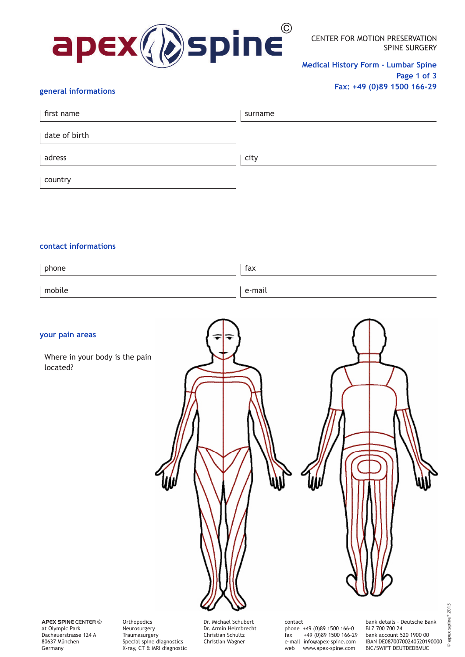

CENTER FOR MOTION PRESERVATION SPINE SURGERY

**Medical History Form - Lumbar Spine Page 1 of 3 Fax: +49 (0)89 1500 166-29** 

## **general informations**

| first name    | surname |
|---------------|---------|
| date of birth |         |
| adress        | city    |
| country       |         |

### **contact informations**

| phone  | fax    |
|--------|--------|
| mobile | e-mail |

#### **your pain areas**

 Where in your body is the pain located?

Dr. Michael Schubert contact bank details - Deutsche Bank

**APEX SPINE** CENTER © at Olympic Park Dachauerstrasse 124 A 80637 München Germany

Orthopedics Neurosurgery **Traumasurgery** Special spine diagnostics X-ray, CT & MRI diagnostic

Dr. Armin Helmbrecht Christian Schultz Christian Wagner

phone +49 (0)89 1500 166-0<br>fax +49 (0)89 1500 166-2  $+49(0)891500166-29$ e-mail info@apex-spine.com web www.apex-spine.com

BLZ 700 700 24 bank account 520 1900 00 IBAN DE08700700240520190000 BIC/SWIFT DEUTDEDBMUC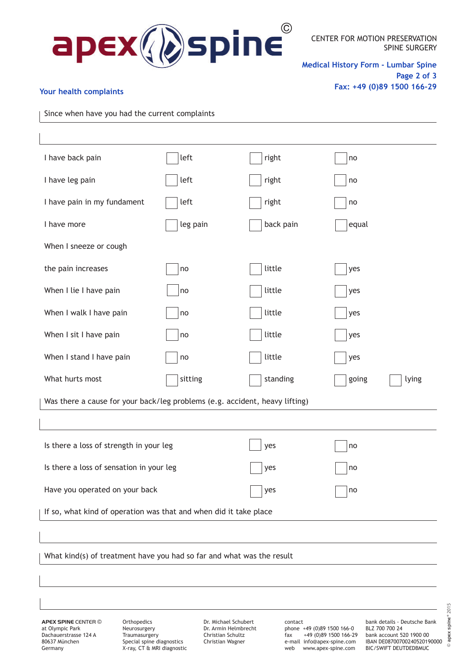

**Medical History Form - Lumbar Spine Page 2 of 3 Fax: +49 (0)89 1500 166-29**

## **Your health complaints**

Since when have you had the current complaints

| I have back pain                                                            | left     | right     | no             |  |  |
|-----------------------------------------------------------------------------|----------|-----------|----------------|--|--|
| I have leg pain                                                             | left     | right     | no             |  |  |
| I have pain in my fundament                                                 | left     | right     | no             |  |  |
| I have more                                                                 | leg pain | back pain | equal          |  |  |
| When I sneeze or cough                                                      |          |           |                |  |  |
| the pain increases                                                          | no       | little    | yes            |  |  |
| When I lie I have pain                                                      | no       | little    | yes            |  |  |
| When I walk I have pain                                                     | no       | little    | yes            |  |  |
| When I sit I have pain                                                      | no       | little    | yes            |  |  |
| When I stand I have pain                                                    | no       | little    | yes            |  |  |
| What hurts most                                                             | sitting  | standing  | going<br>lying |  |  |
| Was there a cause for your back/leg problems (e.g. accident, heavy lifting) |          |           |                |  |  |
|                                                                             |          |           |                |  |  |
| Is there a loss of strength in your leg                                     |          | yes       | no             |  |  |
| Is there a loss of sensation in your leg                                    |          | yes       | no             |  |  |
| Have you operated on your back                                              |          | yes       | no             |  |  |
| If so, what kind of operation was that and when did it take place           |          |           |                |  |  |
|                                                                             |          |           |                |  |  |
| What kind(s) of treatment have you had so far and what was the result       |          |           |                |  |  |
|                                                                             |          |           |                |  |  |

**APEX SPINE** CENTER © at Olympic Park Dachauerstrasse 124 A 80637 München Germany

Orthopedics Neurosurgery **Traumasurgery** Special spine diagnostics X-ray, CT & MRI diagnostic

Dr. Michael Schubert Dr. Armin Helmbrecht Christian Schultz Christian Wagner

contact phone +49 (0)89 1500 166-0<br>fax +49 (0)89 1500 166-2 +49 (0)89 1500 166-29 e-mail info@apex-spine.com<br>web www.apex-spine.com www.apex-spine.com

bank details - Deutsche Bank BLZ 700 700 24 bank account 520 1900 00 IBAN DE08700700240520190000 BIC/SWIFT DEUTDEDBMUC